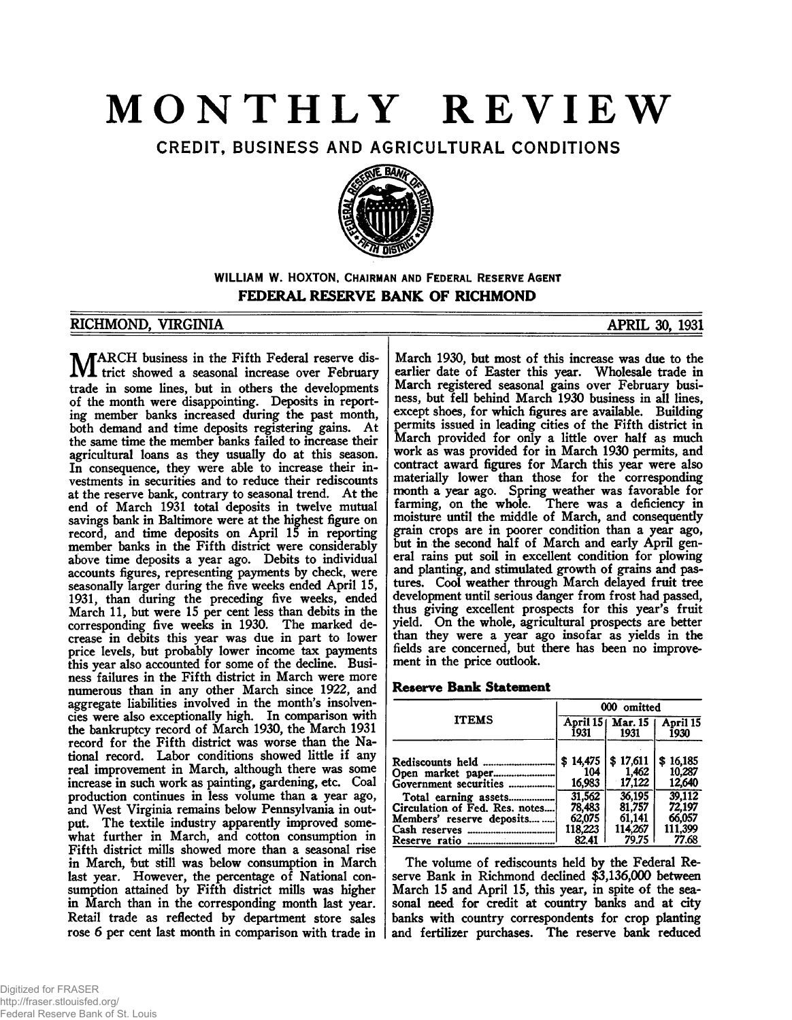# **MONTHLY REVIEW**

CREDIT, BUSINESS AND AGRICULTURAL CONDITIONS



**WILLIAM W. HOXTON,** CHAIRMAN AND FEDERAL RESERVE AGENT **FEDERAL RESERVE BANK OF RICHMOND**

## RICHMOND, VIRGINIA APRIL 30, 1931

**MARCH** business in the Fifth Federal reserve dis-<br>trict showed a seasonal increase over February trade in some lines, but in others the developments of the month were disappointing. Deposits in reporting member banks increased during the past month, both demand and time deposits registering gains. At the same time the member banks failed to increase their agricultural loans as they usually do at this season. In consequence, they were able to increase their investments in securities and to reduce their rediscounts at the reserve bank, contrary to seasonal trend. At the end of March 1931 total deposits in twelve mutual savings bank in Baltimore were at the highest figure on record, and time deposits on April 15 in reporting member banks in the Fifth district were considerably above time deposits a year ago. Debits to individual accounts figures, representing payments by check, were seasonally larger during the five weeks ended April 15, 1931, than during the preceding five weeks, ended March 11, but were 15 per cent less than debits in the corresponding five weeks in 1930. The marked decrease in debits this year was due in part to lower price levels, but probably lower income tax payments this year also accounted for some of the decline. Business failures in the Fifth district in March were more numerous than in any other March since 1922, and aggregate liabilities involved in the month's insolvencies were also exceptionally high. In comparison with the bankruptcy record of March 1930, the March 1931 record for the Fifth district was worse than the National record. Labor conditions showed little if any real improvement in March, although there was some increase in such work as painting, gardening, etc. Coal production continues in less volume than a year ago, and West Virginia remains below Pennsylvania in output. The textile industry apparently improved somewhat further in March, and cotton consumption in Fifth district mills showed more than a seasonal rise in March, but still was below consumption in March last year. However, the percentage of National consumption attained by Fifth district mills was higher in March than in the corresponding month last year. Retail trade as reflected by department store sales rose 6 per cent last month in comparison with trade in

March 1930, but most of this increase was due to the earlier date of Easter this year. Wholesale trade in March registered seasonal gains over February business, but fell behind March 1930 business in all lines, except shoes, for which figures are available. Building permits issued in leading cities of the Fifth district in March provided for only a little over half as much work as was provided for in March 1930 permits, and contract award figures for March this year were also materially lower than those for the corresponding month a year ago. Spring weather was favorable for farming, on the whole. There was a deficiency in moisture until the middle of March, and consequently grain crops are in poorer condition than a year ago, but in the second half of March and early April general rains put soil in excellent condition for plowing and planting, and stimulated growth of grains and pastures. Cool weather through March delayed fruit tree development until serious danger from frost had passed, thus giving excellent prospects for this year's fruit yield. On the whole, agricultural prospects are better than they were a year ago insofar as yields in the fields are concerned, but there has been no improvement in the price outlook.

## **Reserve Bank Statement**

|                                | 000 omitted |                            |                  |  |  |  |
|--------------------------------|-------------|----------------------------|------------------|--|--|--|
| <b>ITEMS</b>                   | 1931        | April 15   Mar. 15<br>1931 | April 15<br>1930 |  |  |  |
| Rediscounts held               | \$14,475    | \$17.611                   | \$16,185         |  |  |  |
| Open market paper              | 104         | 1.462                      | 10,287           |  |  |  |
| Government securities          | 16,983      | 17,122                     | 12,640           |  |  |  |
| Total earning assets           | 31.562      | 36.195                     | 39,112           |  |  |  |
| Circulation of Fed. Res. notes | 78.483      | 81,757                     | 72,197           |  |  |  |
| Members' reserve deposits      | 62,075      | 61.141                     | 66.057           |  |  |  |
|                                | 118.223     | 114,267                    | 111,399          |  |  |  |
|                                | 82.41       | 79.75                      | 77.68            |  |  |  |

The volume of rediscounts held by the Federal Reserve Bank in Richmond declined \$3,136,000 between March 15 and April 15, this year, in spite of the seasonal need for credit at country banks and at city banks with country correspondents for crop planting and fertilizer purchases. The reserve bank reduced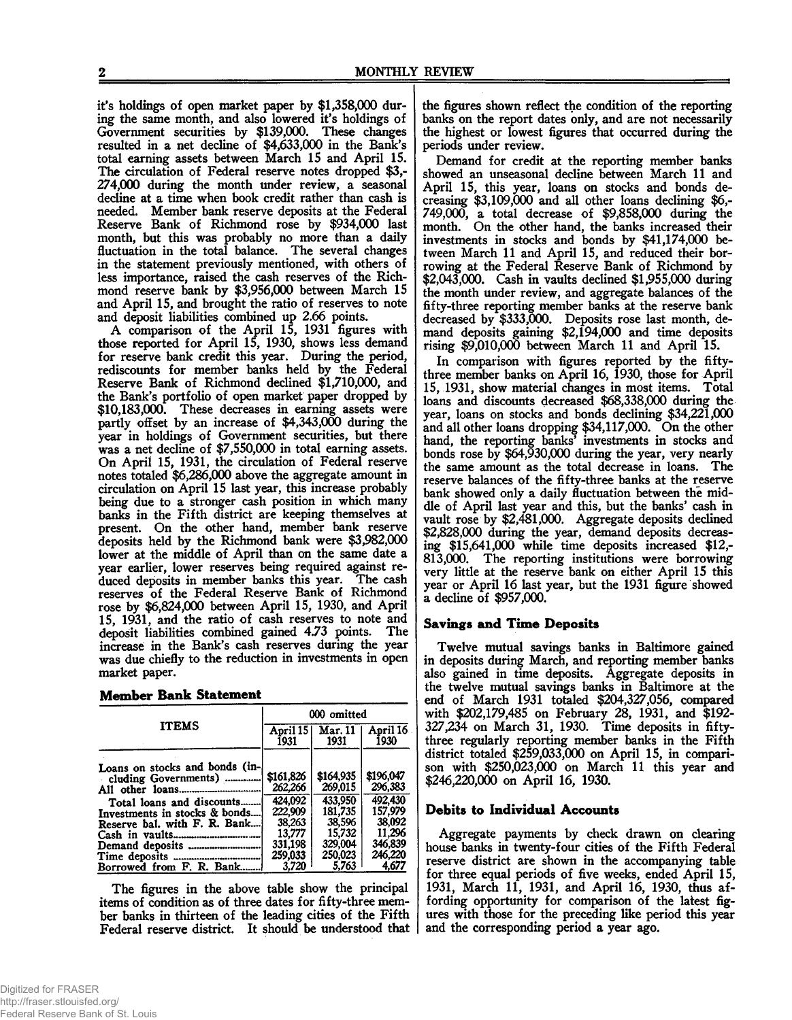it's holdings of open market paper by \$1,358,000 during the same month, and also lowered it's holdings of Government securities by \$139,000. These changes resulted in a net decline of \$4,633,000 in the Bank's total earning assets between March 15 and April 15. The circulation of Federal reserve notes dropped \$3,- 274,000 during the month under review, a seasonal decline at a time when book credit rather than cash is needed. Member bank reserve deposits at the Federal Reserve Bank of Richmond rose by \$934,000 last month, but this was probably no more than a daily fluctuation in the total balance. The several changes in the statement previously mentioned, with others of less importance, raised the cash reserves of the Richmond reserve bank by \$3,956,000 between March 15 and April 15, and brought the ratio of reserves to note and deposit liabilities combined up 2.66 points.

A comparison of the April 15, 1931 figures with those reported for April 15, 1930, shows less demand for reserve bank credit this year. During the period, rediscounts for member banks held by the Federal Reserve Bank of Richmond declined \$1,710,000, and the Bank's portfolio of open market paper dropped by \$10,183,000. These decreases in earning assets were partly offset by an increase of \$4,343,000 during the year in holdings of Government securities, but there was a net decline of \$7,550,000 in total earning assets. On April 15, 1931, the circulation of Federal reserve notes totaled \$6,286,000 above the aggregate amount in circulation on April 15 last year, this increase probably being due to a stronger cash position in which many banks in the Fifth district are keeping themselves at present. On the other hand, member bank reserve deposits held by the Richmond bank were \$3,982,000 lower at the middle of April than on the same date a year earlier, lower reserves being required against re-<br>duced deposits in member banks this year. The cash duced deposits in member banks this year. reserves of the Federal Reserve Bank of Richmond rose by \$6,824,000 between April 15, 1930, and April 15, 1931, and the ratio of cash reserves to note and deposit liabilities combined gained 4.73 points. The increase in the Bank's cash reserves during the year was due chiefly to the reduction in investments in open market paper.

|  | <b>Member Bank Statement</b> |
|--|------------------------------|
|  |                              |

|                                | 000 omitted        |                        |                  |  |  |  |
|--------------------------------|--------------------|------------------------|------------------|--|--|--|
| <b>ITEMS</b>                   | April 15  <br>1931 | <b>Mar. 11</b><br>1931 | April 16<br>1930 |  |  |  |
| Loans on stocks and bonds (in- |                    |                        |                  |  |  |  |
| cluding Governments)           | \$161,826          | \$164,935              | \$196,047        |  |  |  |
|                                | 262,266            | 269,015                | 296,383          |  |  |  |
| Total loans and discounts      | 424,092            | 433.950                | 492,430          |  |  |  |
| Investments in stocks & bonds  | 222,909            | 181.735                | 157.979          |  |  |  |
| Reserve bal. with F. R. Bank   | 38,263             | 38,596                 | 38,092           |  |  |  |
|                                | 13,777             | 15.732                 | 11.296           |  |  |  |
|                                | 331,198            | 329,004                | 346,839          |  |  |  |
|                                | 259,033            | 250.023                | 246,220          |  |  |  |
| Borrowed from F. R. Bank       | 3.720              | 5,763                  | 4.677            |  |  |  |

The figures in the above table show the principal items of condition as of three dates for fifty-three member banks in thirteen of the leading cities of the Fifth Federal reserve district. It should be understood that the figures shown reflect the condition of the reporting banks on the report dates only, and are not necessarily the highest or lowest figures that occurred during the periods under review.

Demand for credit at the reporting member banks showed an unseasonal decline between March 11 and April 15, this year, loans on stocks and bonds decreasing \$3,109,000 and all other loans declining \$6,- 749.000, a total decrease of \$9,858,000 during the month. On the other hand, the banks increased their investments in stocks and bonds by \$41,174,000 between March 11 and April 15, and reduced their borrowing at the Federal Reserve Bank of Richmond by \$2,043,000. Cash in vaults declined \$1,955,000 during the month under review, and aggregate balances of the fifty-three reporting member banks at the reserve bank decreased by \$333,000. Deposits rose last month, demand deposits gaining \$2,194,000 and time deposits rising \$9,010,000 between March 11 and April 15.

In comparison with figures reported by the fiftythree member banks on April 16, 1930, those for April 15, 1931, show material changes in most items. Total loans and discounts decreased \$68,338,000 during the year, loans on stocks and bonds declining \$34,221,000 and all other loans dropping \$34,117,000. On the other hand, the reporting banks' investments in stocks and bonds rose by \$64,930,000 during the year, very nearly the same amount as the total decrease in loans. The reserve balances of the fifty-three banks at the reserve bank showed only a daily fluctuation between the middle of April last year and this, but the banks' cash in vault rose by \$2,481,000. Aggregate deposits declined \$2,828,000 during the year, demand deposits decreasing \$15,641,000 while time deposits increased \$12,- 813.000. The reporting institutions were borrowing very little at the reserve bank on either April 15 this year or April 16 last year, but the 1931 figure showed a decline of \$957,000.

#### **Savings and Time Deposits**

Twelve mutual savings banks in Baltimore gained in deposits during March, and reporting member banks also gained in time deposits. Aggregate deposits in the twelve mutual savings banks in Baltimore at the end of March 1931 totaled \$204,327,056, compared with \$202,179,485 on February 28, 1931, and \$192- 327,234 on March 31, 1930. Time deposits in fiftythree regularly reporting member banks in the Fifth district totaled \$259,033,000 on April 15, in comparison with \$250,023,000 on March 11 this year and \$246,220,000 on April 16, 1930.

#### **Debits to Individual Accounts**

Aggregate payments by check drawn on clearing house banks in twenty-four cities of the Fifth Federal reserve district are shown in the accompanying table for three equal periods of five weeks, ended April 15, 1931, March 11, 1931, and April 16, 1930, thus affording opportunity for comparison of the latest figures with those for the preceding like period this year and the corresponding period a year ago.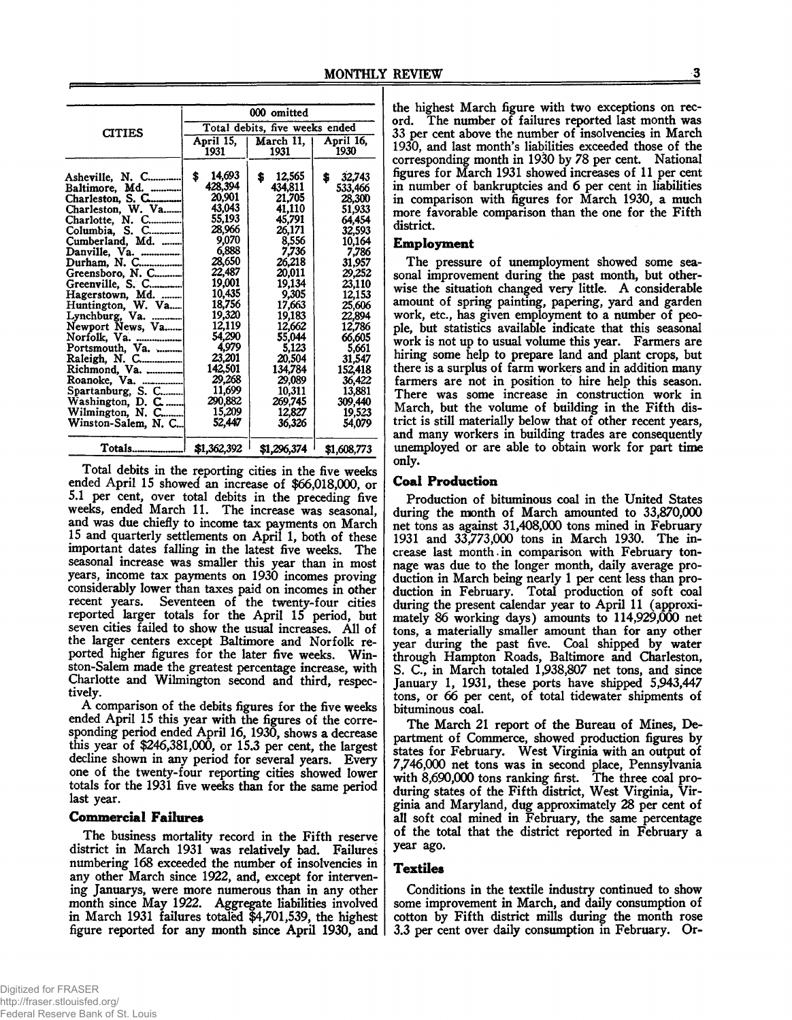|                                   | 000 omitted                    |                         |                         |  |  |  |
|-----------------------------------|--------------------------------|-------------------------|-------------------------|--|--|--|
| <b>CITIES</b>                     | Total debits, five weeks ended |                         |                         |  |  |  |
|                                   | April 15,<br>1931              | March 11.  <br>1931     | April 16,<br>1930       |  |  |  |
| Asheville, N. C<br>Baltimore, Md. | 14,693<br>\$<br>428,394        | 12,565<br>\$<br>434,811 | \$<br>32.743<br>533,466 |  |  |  |
| Charleston, S. C                  | 20.901                         | 21,705                  | 28,300                  |  |  |  |
| Charleston, W. Va                 | 43,043                         | 41,110                  | 51,933                  |  |  |  |
| Charlotte, N. C                   | 55,193                         | 45,791                  | 64.454                  |  |  |  |
| Columbia, S. C                    | 28,966                         | 26,171                  | 32.593                  |  |  |  |
| Cumberland, Md.                   | 9,070                          | 8,556                   | 10,164                  |  |  |  |
| Danville, Va.                     | 6,888                          | 7,736                   | 7.786                   |  |  |  |
| Durham, N. C                      | 28,650                         | 26,218                  | 31,957                  |  |  |  |
| Greensboro, N. C                  | 22,487                         | 20,011                  | 29,252                  |  |  |  |
| Greenville, S. C                  | 19,001                         | 19,134                  | 23.110                  |  |  |  |
| Hagerstown, Md.                   | 10,435                         | 9.305                   | 12,153                  |  |  |  |
| Huntington, W. Va                 | 18,756                         | 17,663                  | 25,606                  |  |  |  |
|                                   | 19,320<br>12,119               | 19,183                  | 22,894                  |  |  |  |
| Newport News, Va                  | 54,290                         | 12,662<br>55,044        | 12.786<br>66,605        |  |  |  |
| Portsmouth, Va.                   | 4,979                          | 5,123                   | 5.661                   |  |  |  |
| Raleigh, N. C                     | 23,201                         | 20.504                  | 31,547                  |  |  |  |
| Richmond, Va.                     | 142,501                        | 134,784                 | 152,418                 |  |  |  |
| Roanoke, Va.                      | 29,268                         | 29,089                  | 36,422                  |  |  |  |
| Spartanburg, S. C                 | 11,699                         | 10.311                  | 13,881                  |  |  |  |
| Washington, D. C                  | 290,882                        | 269,745                 | 309,440                 |  |  |  |
| Wilmington, N. C                  | 15,209                         | 12.827                  | 19,523                  |  |  |  |
| Winston-Salem, N. C               | 52,447                         | 36,326                  | 54.079                  |  |  |  |
| Totals                            | \$1,362,392                    | \$1,296,374             | \$1,608,773             |  |  |  |

Total debits in the reporting cities in the five weeks ended April 15 showed an increase of \$66,018,000, or 5.1 per cent, over total debits in the preceding five weeks, ended March 11. The increase was seasonal, and was due chiefly to income tax payments on March 15 and quarterly settlements on April 1, both of these important dates falling in the latest five weeks. The seasonal increase was smaller this year than in most years, income tax payments on 1930 incomes proving considerably lower than taxes paid on incomes in other recent years. Seventeen of the twenty-four cities reported larger totals for the April 15 period, but seven cities failed to show the usual increases. AH of the larger centers except Baltimore and Norfolk reported higher figures for the later five weeks. Winston-Salem made the greatest percentage increase, with Charlotte and Wilmington second and third, respectively.

A comparison of the debits figures for the five weeks ended April 15 this year with the figures of the corresponding period ended April 16, 1930, shows a decrease this year of \$246,381,000, or 15.3 per cent, the largest decline shown in any period for several years. Every one of the twenty-four reporting cities showed lower totals for the 1931 five weeks than for the same period last year.

#### **Commercial Failures**

The business mortality record in the Fifth reserve district in March 1931 was relatively bad. Failures numbering 168 exceeded the number of insolvencies in any other March since 1922, and, except for intervening Januarys, were more numerous than in any other month since May 1922. Aggregate liabilities involved in March 1931 failures totaled \$4,701,539, the highest figure reported for any month since April 1930, and

the highest March figure with two exceptions on record. The number of failures reported last month was 33 per cent above the number of insolvencies in March 1930, and last month's liabilities exceeded those of the corresponding month in 1930 by 78 per cent. National figures for March 1931 showed increases of 11 per cent in number of bankruptcies and 6 per cent in liabilities in comparison with figures for March 1930, a much more favorable comparison than the one for the Fifth district.

#### **Employment**

The pressure of unemployment showed some seasonal improvement during the past month, but otherwise the situation changed very little. A considerable amount of spring painting, papering, yard and garden work, etc., has given employment to a number of people, but statistics available indicate that this seasonal work is not up to usual volume this year. Farmers are hiring some help to prepare land and plant crops, but there is a surplus of farm workers and in addition many farmers are not in position to hire help this season. There was some increase in construction work in March, but the volume of building in the Fifth district is still materially below that of other recent years, and many workers in building trades are consequently unemployed or are able to obtain work for part time only.

## **Coal Production**

Production of bituminous coal in the United States during the month of March amounted to 33,870,000 net tons as against 31,408,000 tons mined in February 1931 and 33,773,000 tons in March 1930. The increase last month.in comparison with February tonnage was due to the longer month, daily average production in March being nearly 1 per cent less than production in February. Total production of soft coal during the present calendar year to April 11 (approximately 86 working days) amounts to 114,929,000 net tons, a materially smaller amount than for any other year during the past five. Coal shipped by water through Hampton Roads, Baltimore and Charleston, S. C., in March totaled 1,938,807 net tons, and since January 1, 1931, these ports have shipped 5,943,447 tons, or 66 per cent, of total tidewater shipments of bituminous coal.

The March 21 report of the Bureau of Mines, Department of Commerce, showed production figures by states for February. West Virginia with an output of 7,746,000 net tons was in second place, Pennsylvania with 8,690,000 tons ranking first. The three coal produring states of the Fifth district, West Virginia, Virginia and Maryland, dug approximately 28 per cent of all soft coal mined in February, the same percentage of the total that the district reported in February a year ago.

## **Textiles**

Conditions in the textile industry continued to show some improvement in March, and daily consumption of cotton by Fifth district mills during the month rose 3.3 per cent over daily consumption in February. Or-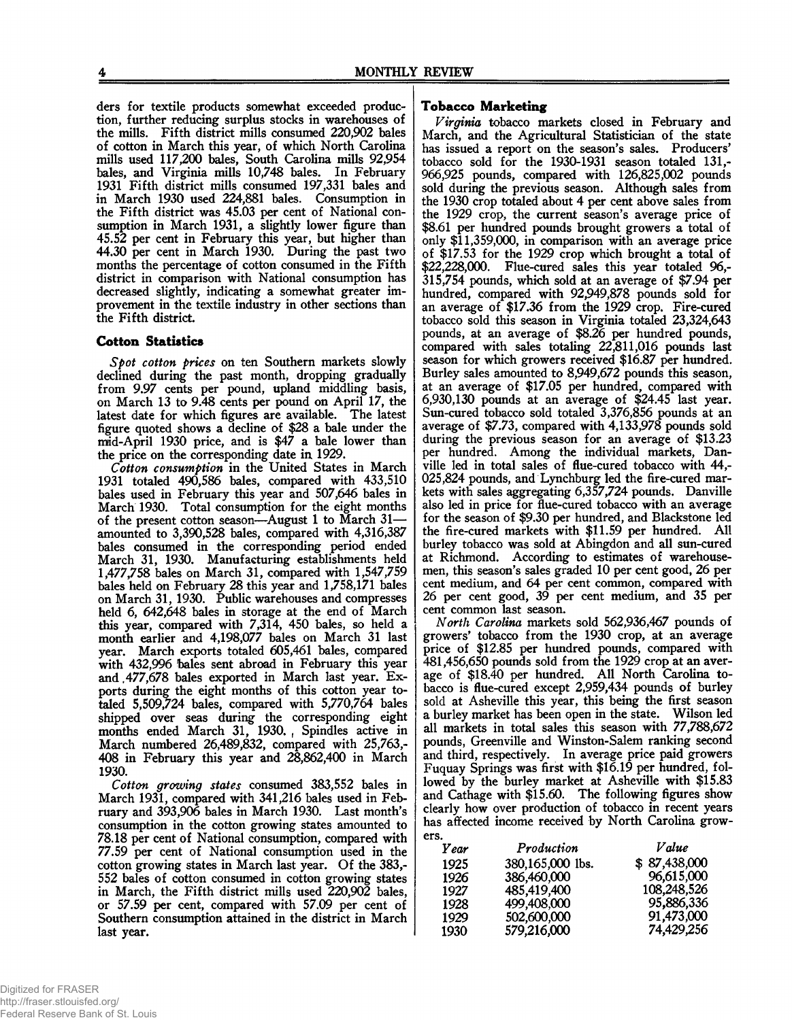ders for textile products somewhat exceeded production, further reducing surplus stocks in warehouses of the mills. Fifth district mills consumed 220,902 bales of cotton in March this year, of which North Carolina mills used 117,200 bales, South Carolina mills 92,954 bales, and Virginia mills 10,748 bales. In February 1931 Fifth district mills consumed 197,331 bales and in March 1930 used 224,881 bales. Consumption in the Fifth district was 45.03 per cent of National consumption in March 1931, a slightly lower figure than 45.52 per cent in February this year, but higher than 44.30 per cent in March 1930. During the past two months the percentage of cotton consumed in the Fifth district in comparison with National consumption has decreased slightly, indicating a somewhat greater improvement in the textile industry in other sections than the Fifth district

#### **Cotton Statistics**

*Spot cotton prices* on ten Southern markets slowly declined during the past month, dropping gradually from 9.97 cents per pound, upland middling basis, on March 13 to 9.48 cents per pound on April 17, the latest date for which figures are available. The latest figure quoted shows a decline of \$28 a bale under the mid-April 1930 price, and is \$47 a bale lower than the price on the corresponding date in, 1929.

*Cotton consumption* in the United States in March 1931 totaled 490,586 bales, compared with 433,510 bales used in February this year and 507,646 bales in March 1930. Total consumption for the eight months of the present cotton season—August 1 to March 31 amounted to 3,390,528 bales, compared with 4,316,387 bales consumed in the corresponding period ended March 31, 1930. Manufacturing establishments held 1,477,758 bales on March 31, compared with 1,547,759 bales held on February 28 this year and 1,758,171 bales on March 31, 1930. Public warehouses and compresses held 6, 642,648 bales in storage at the end of March this year, compared with 7,314, 450 bales, so held a month earlier and 4,198,077 bales on March 31 last year. March exports totaled 605,461 bales, compared with 432,996 bales sent abroad in February this year and ,477,678 bales exported in March last year. Exports during the eight months of this cotton year totaled 5,509,724 bales, compared with 5,770,764 bales shipped over seas during the corresponding eight months ended March 31, 1930. Spindles active in March numbered 26,489,832, compared with 25,763,- 408 in February this year and 28,862,400 in March 1930.

*Cotton growing states* consumed 383,552 bales in March 1931, compared with 341,216 bales used in February and 393,906 bales in March 1930. Last month's consumption in the cotton growing states amounted to 78.18 per cent of National consumption, compared with 77.59 per cent of National consumption used in the cotton growing states in March last year. Of the 383,- 552 bales of cotton consumed in cotton growing states in March, the Fifth district mills used 220,902 bales, or 57.59 per cent, compared with 57.09 per cent of Southern consumption attained in the district in March last year.

#### **Tobacco Marketing**

*Virginia* tobacco markets closed in February and March, and the Agricultural Statistician of the state has issued a report on the season's sales. Producers' tobacco sold for the 1930-1931 season totaled 131,- 966,925 pounds, compared with 126,825,002 pounds sold during the previous season. Although sales from the 1930 crop totaled about 4 per cent above sales from the 1929 crop, the current season's average price of \$8.61 per hundred pounds brought growers a total of only \$11,359,000, in comparison with an average price of \$17.53 for the 1929 crop which brought a total of \$22,228,000. Flue-cured sales this year totaled 96,- 315,754 pounds, which sold at an average of \$7.94 per hundred, compared with 92,949,878 pounds sold for an average of \$17.36 from the 1929 crop. Fire-cured tobacco sold this season in Virginia totaled 23,324,643 pounds, at an average of \$8.26 per hundred pounds, compared with sales totaling 22,811,016 pounds last season for which growers received \$16.87 per hundred. Burley sales amounted to 8,949,672 pounds this season, at an average of \$17.05 per hundred, compared with 6,930,130 pounds at an average of \$24.45 last year. Sun-cured tobacco sold totaled 3,376,856 pounds at an average of \$7.73, compared with 4,133,978 pounds sold during the previous season for an average of \$13.23 per hundred. Among the individual markets, Danville led in total sales of flue-cured tobacco with 44,- 025,824 pounds, and Lynchburg led the fire-cured markets with sales aggregating 6,357,724 pounds. Danville also led in price for flue-cured tobacco with an average for the season of \$9.30 per hundred, and Blackstone led the fire-cured markets with \$11.59 per hundred. All burley tobacco was sold at Abingdon and all sun-cured at Richmond. According to estimates of warehousemen, this season's sales graded 10 per cent good, 26 per cent medium, and 64 per cent common, compared with 26 per cent good, 39 per cent medium, and 35 per cent common last season.

*North Carolina* markets sold 562,936,467 pounds of growers' tobacco from the 1930 crop, at an average price of \$12.85 per hundred pounds, compared with 481,456,650 pounds sold from the 1929 crop at an average of \$18.40 per hundred. All North Carolina tobacco is flue-cured except 2,959,434 pounds of burley sold at Asheville this year, this being the first season a burley market has been open in the state. Wilson led a burley market has been open in the state. all markets in total sales this season with 77,788,672 pounds, Greenville and Winston-Salem ranking second and third, respectively. In average price paid growers Fuquay Springs was first with \$16.19 per hundred, followed by the burley market at Asheville with \$15.83 and Cathage with \$15.60. The following figures show clearly how over production of tobacco in recent years has affected income received by North Carolina growers.

| .    |                  |              |
|------|------------------|--------------|
| Year | Production       | Value        |
| 1925 | 380,165,000 lbs. | \$87,438,000 |
| 1926 | 386,460,000      | 96,615,000   |
| 1927 | 485,419,400      | 108,248,526  |
| 1928 | 499,408,000      | 95,886,336   |
| 1929 | 502,600,000      | 91,473,000   |
| 1930 | 579,216,000      | 74,429,256   |
|      |                  |              |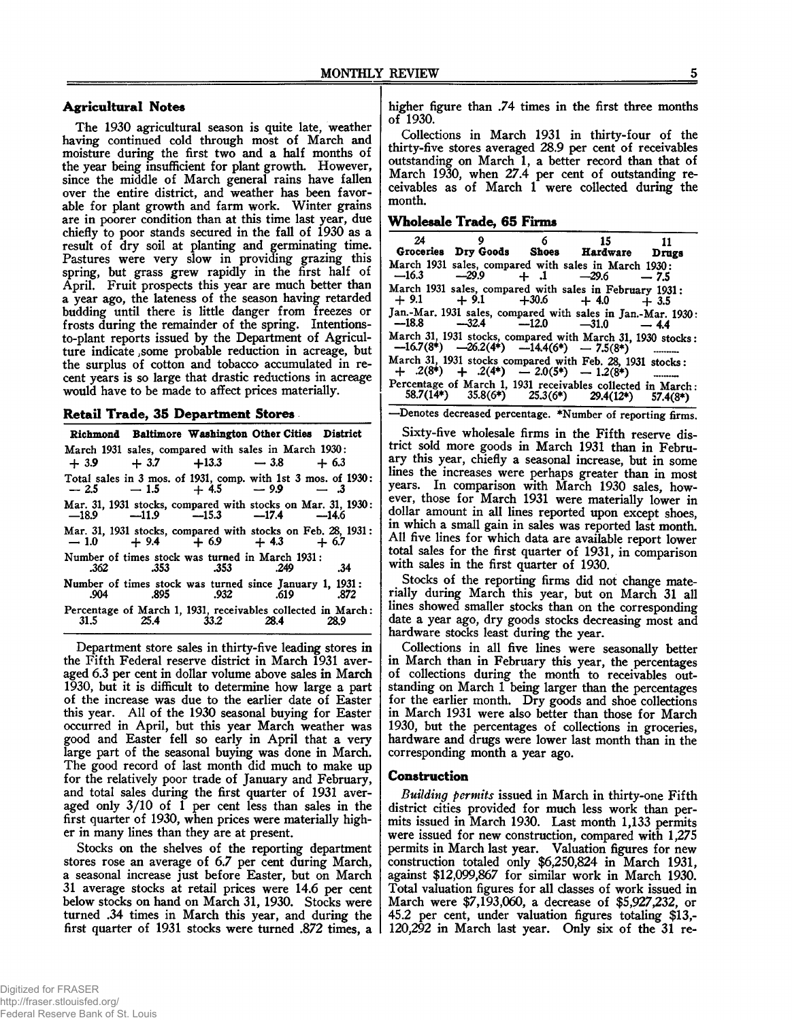## **Agricultural Notes**

The 1930 agricultural season is quite late, weather having continued cold through most of March and moisture during the first two and a half months of the year being insufficient for plant growth. However, since the middle of March general rains have fallen over the entire district, and weather has been favorable for plant growth and farm work. Winter grains are in poorer condition than at this time last year, due chiefly to poor stands secured in the fall of 1930 as a result of dry soil at planting and germinating time. Pastures were very slow in providing grazing this spring, but grass grew rapidly in the first half of April. Fruit prospects this year are much better than a year ago, the lateness of the season having retarded budding until there is little danger from freezes or frosts during the remainder of the spring. Intentionsto-plant reports issued by the Department of Agriculture indicate ;some probable reduction in acreage, but the surplus of cotton and tobacco accumulated in recent years is so large that drastic reductions in acreage would have to be made to affect prices materially.

#### **Retail Trade, 35 Department Stores**

|             |                     |      | Richmond Baltimore Washington Other Cities District                                                     |      |
|-------------|---------------------|------|---------------------------------------------------------------------------------------------------------|------|
|             |                     |      | March 1931 sales, compared with sales in March 1930:<br>$+3.9$ $+3.7$ $+13.3$ $-3.8$ $+6.3$             |      |
|             |                     |      | Total sales in 3 mos. of 1931, comp. with 1st 3 mos. of 1930:<br>$-2.5$ $-1.5$ $+4.5$ $-9.9$ $-3$       |      |
|             |                     |      | Mar. 31, 1931 stocks, compared with stocks on Mar. 31, 1930:<br>$-18.9$ $-11.9$ $-15.3$ $-17.4$ $-14.6$ |      |
|             |                     |      | Mar. 31, 1931 stocks, compared with stocks on Feb. 28, 1931:<br>$-1.0 + 9.4 + 6.9 + 4.3 + 6.7$          |      |
|             | .362 .353 .353 .249 |      | Number of times stock was turned in March 1931:                                                         | .34  |
|             |                     |      | Number of times stock was turned since January 1, 1931:<br>.904 .895 .932 .619 .872                     |      |
| $31.5$ 25.4 |                     | 33.2 | Percentage of March 1, 1931, receivables collected in March:<br>28.4                                    | 28.9 |

Department store sales in thirty-five leading stores in the Fifth Federal reserve district in March 1931 averaged 6.3 per cent in dollar volume above sales in March 1930, but it is difficult to determine how large a part of the increase was due to the earlier date of Easter this year. All of the 1930 seasonal buying for Easter occurred in April, but this year March weather was good and Easter fell so early in April that a very large part of the seasonal buying was done in March. The good record of last month did much to make up for the relatively poor trade of January and February, and total sales during the first quarter of 1931 averaged only 3/10 of 1 per cent less than sales in the first quarter of 1930, when prices were materially higher in many lines than they are at present.

Stocks on the shelves of the reporting department stores rose an average of 6.7 per cent during March, a seasonal increase just before Easter, but on March 31 average stocks at retail prices were 14.6 per cent below stocks on hand on March 31, 1930. Stocks were turned .34 times in March this year, and during the first quarter of 1931 stocks were turned .872 times, a higher figure than .74 times in the first three months of 1930.

Collections in March 1931 in thirty-four of the thirty-five stores averaged 28.9 per cent of receivables outstanding on March 1, a better record than that of March 1930, when 27.4 per cent of outstanding receivables as of March 1 were collected during the month.

#### **W holesale Trade, 65 Firms**

| 24      |                                               | $6\degree$ | 15<br>Groceries Dry Goods Shoes Hardware Drugs                                                                    | 11     |
|---------|-----------------------------------------------|------------|-------------------------------------------------------------------------------------------------------------------|--------|
| $-16.3$ | $-29.9 + 0.1 -29.6$                           |            | March 1931 sales, compared with sales in March 1930:                                                              | $-7.5$ |
|         |                                               |            | March 1931 sales, compared with sales in February 1931:<br>$+9.1 + 9.1 + 30.6 + 4.0 + 3.5$                        |        |
|         |                                               |            | Jan.-Mar. 1931 sales, compared with sales in Jan.-Mar. 1930:<br>$-18.8$ $-32.4$ $-12.0$ $-31.0$ $-4.4$            |        |
|         |                                               |            | March 31, 1931 stocks, compared with March 31, 1930 stocks:<br>$-16.7(8^*)$ $-26.2(4^*)$ $-14.4(6^*)$ $-7.5(8^*)$ |        |
|         | $+$ .2(8*) $+$ .2(4*) $-$ 2.0(5*) $-$ 1.2(8*) |            | March 31, 1931 stocks compared with Feb. 28, 1931 stocks:                                                         |        |
|         |                                               |            | Percentage of March 1, 1931 receivables collected in March:<br>58.7(14*) 35.8(6*) 25.3(6*) 29.4(12*) 57.4(8*)     |        |

—Denotes decreased percentage. \*Number of reporting firms.

Sixty-five wholesale firms in the Fifth reserve district sold more goods in March 1931 than in February this year, chiefly a seasonal increase, but in some lines the increases were perhaps greater than in most years. In comparison with March 1930 sales, however, those for March 1931 were materially lower in dollar amount in all lines reported upon except shoes, in which a small gain in sales was reported last month. All five lines for which data are available report lower total sales for the first quarter of 1931, in comparison with sales in the first quarter of 1930.

Stocks of the reporting firms did not change materially during March this year, but on March 31 all lines showed smaller stocks than on the corresponding date a year ago, dry goods stocks decreasing most and hardware stocks least during the year.

Collections in all five lines were seasonally better in March than in February this year, the percentages of collections during the month to receivables outstanding on March 1 being larger than the percentages for the earlier month. Dry goods and shoe collections in March 1931 were also better than those for March 1930, but the percentages of collections in groceries, hardware and drugs were lower last month than in the corresponding month a year ago.

#### **Construction**

*Building permits* issued in March in thirty-one Fifth district cities provided for much less work than permits issued in March 1930. Last month 1,133 permits were issued for new construction, compared with 1,275 permits in March last year. Valuation figures for new construction totaled only \$6,250,824 in March 1931, against \$12,099,867 for similar work in March 1930. Total valuation figures for all classes of work issued in March were \$7,193,060, a decrease of \$5,927,232, or 45.2 per cent, under valuation figures totaling \$13,- 120,292 in March last year. Only six of the 31 re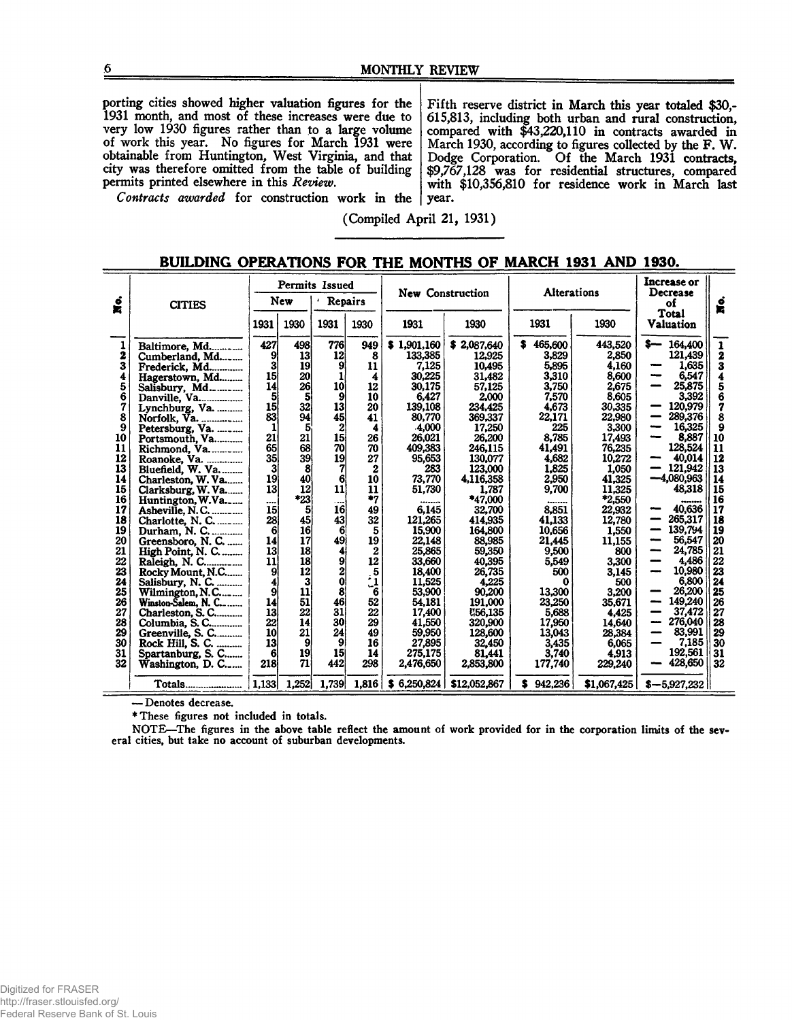porting cities showed higher valuation figures for the 1931 month, and most of these increases were due to very low 1930 figures rather than to a large volume of work this year. No figures for March 1931 were obtainable from Huntington, West Virginia, and that city was therefore omitted from the table of building permits printed elsewhere in this *Review.*

Fifth reserve district in March this year totaled \$30,- 615,813, including both urban and rural construction, compared with \$43,220,110 in contracts awarded in March 1930, according to figures collected by the F. W. Dodge Corporation. Of the March 1931 contracts, \$9,767,128 was for residential structures, compared with \$10,356,810 for residence work in March last year.

*Contracts awarded* for construction work in the

(Compiled April 21, 1931)

|                                                                                                                    |                                                                                                                                                                                                                                                                                                                                                                             |                                                                                                                                                  |                                                                                                                                        | Permits Issued                                                                                                                                                  |                                                                                                                                                                  |                                                                                                                                                                                                                       | New Construction                                                                                                                                                                                                                       |                                                                                                                                                                                                    | <b>Alterations</b>                                                                                                                                                                                            |                                                                                                                                                                                                                                                        |                                                                                                                                    |
|--------------------------------------------------------------------------------------------------------------------|-----------------------------------------------------------------------------------------------------------------------------------------------------------------------------------------------------------------------------------------------------------------------------------------------------------------------------------------------------------------------------|--------------------------------------------------------------------------------------------------------------------------------------------------|----------------------------------------------------------------------------------------------------------------------------------------|-----------------------------------------------------------------------------------------------------------------------------------------------------------------|------------------------------------------------------------------------------------------------------------------------------------------------------------------|-----------------------------------------------------------------------------------------------------------------------------------------------------------------------------------------------------------------------|----------------------------------------------------------------------------------------------------------------------------------------------------------------------------------------------------------------------------------------|----------------------------------------------------------------------------------------------------------------------------------------------------------------------------------------------------|---------------------------------------------------------------------------------------------------------------------------------------------------------------------------------------------------------------|--------------------------------------------------------------------------------------------------------------------------------------------------------------------------------------------------------------------------------------------------------|------------------------------------------------------------------------------------------------------------------------------------|
| $\dot{\bullet}$<br>¥.                                                                                              | <b>CITIES</b>                                                                                                                                                                                                                                                                                                                                                               |                                                                                                                                                  | New                                                                                                                                    | Repairs                                                                                                                                                         |                                                                                                                                                                  |                                                                                                                                                                                                                       |                                                                                                                                                                                                                                        |                                                                                                                                                                                                    |                                                                                                                                                                                                               | Decrease<br>ó<br>оf<br>宮<br>Total                                                                                                                                                                                                                      |                                                                                                                                    |
|                                                                                                                    |                                                                                                                                                                                                                                                                                                                                                                             | 1931                                                                                                                                             | 1930                                                                                                                                   | 1931                                                                                                                                                            | 1930                                                                                                                                                             | 1931                                                                                                                                                                                                                  | 1930                                                                                                                                                                                                                                   | 1931                                                                                                                                                                                               | 1930                                                                                                                                                                                                          | Valuation                                                                                                                                                                                                                                              |                                                                                                                                    |
| 2<br>3<br>4<br>5<br>6<br>7<br>8<br>9<br>10<br>11<br>12<br>13<br>14<br>15<br>16<br>17<br>18<br>19<br>20<br>21<br>22 | Baltimore, Md<br>Cumberland, Md<br>Frederick, Md<br>Hagerstown, Md<br>Salisbury, Md<br>Danville, Va<br>Lynchburg, Va.<br>Norfolk, Va.<br>Petersburg, Va.<br>Portsmouth, Va<br>Richmond, Va.<br>Charleston, W. Va<br>Clarksburg, W.Va<br>Huntington, W.Va<br>Asheville, N.C.<br>Charlotte, N. C.<br>Durham, N. C.<br>Greensboro, N. C.<br>High Point, N. C.<br>Raleigh, N. C | 427<br>9<br>3<br>15<br>14<br>5<br>15<br>83<br>21<br>65<br>35 <sub>l</sub><br>3<br>19<br>13<br><br>15<br>28<br>$6 \overline{6}$<br>14<br>13<br>11 | 498<br>13 <sub>1</sub><br>19<br>20<br>26<br>5<br>32<br>94<br>21<br>68<br>39<br>8<br>40<br>12<br>*23<br>5<br>45<br>16<br>17<br>18<br>18 | 776<br>12<br>9<br>10<br>9<br>13<br>45<br>$\boldsymbol{2}$<br>15 <sup>1</sup><br>70<br>19<br>6<br>11<br>$\overline{a}$<br><b>16</b><br>43<br>61<br>49<br>41<br>9 | 949<br>8<br>11<br>4<br>12<br>10<br>20<br>41<br>4<br>26<br>70<br>27<br>$\boldsymbol{2}$<br>10<br>11<br>$^{\bullet}7$<br>49<br>32<br>5<br>19<br>$\mathbf{2}$<br>12 | \$1,901,160<br>133,385<br>7,125<br>30,225<br>30,175<br>6.427<br>139,108<br>80,770<br>-4,000<br>26,021<br>409,383<br>95,653<br>283<br>73,770<br>51.730<br><br>6,145<br>121.265<br>15,900<br>22,148<br>25,865<br>33.660 | \$2,087,640<br>12,925<br>10,495<br>31,482<br>57,125<br>2,000<br>234,425<br>369,337<br>17,250<br>26.200<br>246,115<br>130,077<br>123,000<br>4,116,358<br>1.787<br>*47,000<br>32,700<br>414,935<br>164,800<br>88,985<br>59,350<br>40,395 | 465,600<br>3,829<br>5,895<br>3,310<br>3,750<br>7.570<br>4,673<br>22,171<br>225<br>8,785<br>41,491<br>4,682<br>1,825<br>2,950<br>9,700<br><br>8,851<br>41.133<br>10,656<br>21.445<br>9.500<br>5,549 | 443,520<br>2,850<br>4,160<br>8,600<br>2,675<br>8.605<br>30,335<br>22,980<br>3,300<br>17,493<br>76,235<br>10,272<br>1,050<br>41,325<br>11.325<br>*2,550<br>22,932<br>12,780<br>1,550<br>11.155<br>800<br>3.300 | 164,400<br>s—<br>121,439<br>1,635<br>----<br>6,547<br>25,875<br>3,392<br>120,979<br>289,376<br>16,325<br>8,887<br>128,524<br>40.014<br>121,942<br>$-4,080,963$<br>48.318<br>********<br>40,636<br>265,317<br>139.794<br>56,547<br>24,785<br>-<br>4,486 | $\mathbf{1}$<br>2<br>3<br>4<br>5<br>6<br>7<br>8<br>9<br>10<br>11<br>12<br>13<br>14<br>15<br>16<br>17<br>18<br>19<br>20<br>21<br>22 |
| 23<br>24<br>25<br>26<br>27<br>28<br>29<br>30<br>31<br>32                                                           | Rocky Mount, N.C<br>Salisbury, N. C.<br>Wilmington, N.C<br>Winston-Salem, N. C.-<br>Charleston, S. C<br>Columbia, S. C<br>Greenville, S. C<br>Rock Hill, S. C.<br>Spartanburg, S. C<br>Washington, D. C                                                                                                                                                                     | 9<br>9<br>14<br>13<br>22<br>10<br>13<br>6<br>218                                                                                                 | 12<br>11<br>51<br>22<br>14<br>21<br>9<br>19<br>71                                                                                      | $\bf{0}$<br>8<br>46<br>31<br>30<br>24<br>9.<br>15<br>442                                                                                                        | $\frac{5}{6}$<br>52<br>22<br>29<br>49<br>16<br>14<br>298                                                                                                         | 18,400<br>11.525<br>53,900<br>54,181<br>17,400<br>41,550<br>59,950<br>27,895<br>275,175<br>2,476,650                                                                                                                  | 26,735<br>4,225<br>90,200<br>191,000<br><b>N56,135</b><br>320,900<br>128,600<br>32,450<br>81,441<br>2,853,800                                                                                                                          | 500<br>0<br>13,300<br>23,250<br>5,688<br>17,950<br>13,043<br>3,435<br>3.740<br>177,740                                                                                                             | 3,145<br>500<br>3.200<br>35,671<br>4.425<br>14.640<br>28,384<br>6,065<br>4.913<br>229,240                                                                                                                     | 10.980<br>6.800<br>26.200<br>149,240<br>37,472<br>276,040<br>---<br>83,991<br>7.185<br>192,561<br>428,650                                                                                                                                              | 23<br>24<br>25<br>26<br>27<br>28<br>29<br>30<br>31<br>32                                                                           |
|                                                                                                                    | Totals                                                                                                                                                                                                                                                                                                                                                                      | 1.133                                                                                                                                            | 1,252                                                                                                                                  | 1,739                                                                                                                                                           | 1.816                                                                                                                                                            | \$6,250,824                                                                                                                                                                                                           | \$12,052,867                                                                                                                                                                                                                           | \$942.236                                                                                                                                                                                          | \$1,067,425                                                                                                                                                                                                   | $$-5,927,232$                                                                                                                                                                                                                                          |                                                                                                                                    |

#### **BUILDING OPERATIONS FOR THE MONTHS OF MARCH 1931 AND 1930.**

— Denotes decrease.

\* These figures not included in totals.

NOTE—The figures in the above table reflect the amount of work provided for in the corporation limits of the several cities, but take no account of suburban developments.